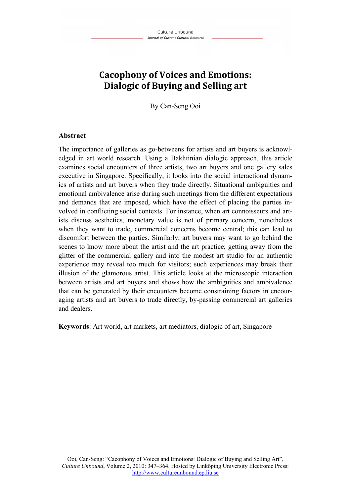# **Cacophony of Voices and Emotions: Dialogic of Buying and Selling art**

By Can-Seng Ooi

#### **Abstract**

The importance of galleries as go-betweens for artists and art buyers is acknowledged in art world research. Using a Bakhtinian dialogic approach, this article examines social encounters of three artists, two art buyers and one gallery sales executive in Singapore. Specifically, it looks into the social interactional dynamics of artists and art buyers when they trade directly. Situational ambiguities and emotional ambivalence arise during such meetings from the different expectations and demands that are imposed, which have the effect of placing the parties involved in conflicting social contexts. For instance, when art connoisseurs and artists discuss aesthetics, monetary value is not of primary concern, nonetheless when they want to trade, commercial concerns become central; this can lead to discomfort between the parties. Similarly, art buyers may want to go behind the scenes to know more about the artist and the art practice; getting away from the glitter of the commercial gallery and into the modest art studio for an authentic experience may reveal too much for visitors; such experiences may break their illusion of the glamorous artist. This article looks at the microscopic interaction between artists and art buyers and shows how the ambiguities and ambivalence that can be generated by their encounters become constraining factors in encouraging artists and art buyers to trade directly, by-passing commercial art galleries and dealers.

**Keywords**: Art world, art markets, art mediators, dialogic of art, Singapore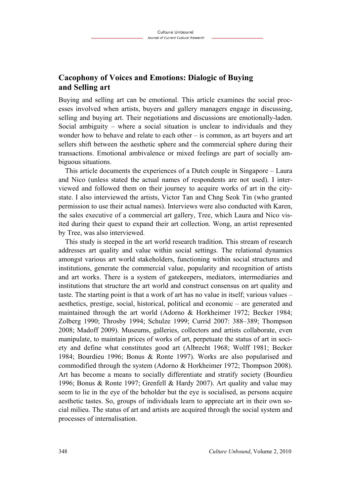# **Cacophony of Voices and Emotions: Dialogic of Buying and Selling art**

Buying and selling art can be emotional. This article examines the social processes involved when artists, buyers and gallery managers engage in discussing, selling and buying art. Their negotiations and discussions are emotionally-laden. Social ambiguity – where a social situation is unclear to individuals and they wonder how to behave and relate to each other – is common, as art buyers and art sellers shift between the aesthetic sphere and the commercial sphere during their transactions. Emotional ambivalence or mixed feelings are part of socially ambiguous situations.

This article documents the experiences of a Dutch couple in Singapore – Laura and Nico (unless stated the actual names of respondents are not used). I interviewed and followed them on their journey to acquire works of art in the citystate. I also interviewed the artists, Victor Tan and Chng Seok Tin (who granted permission to use their actual names). Interviews were also conducted with Karen, the sales executive of a commercial art gallery, Tree, which Laura and Nico visited during their quest to expand their art collection. Wong, an artist represented by Tree, was also interviewed.

This study is steeped in the art world research tradition. This stream of research addresses art quality and value within social settings. The relational dynamics amongst various art world stakeholders, functioning within social structures and institutions, generate the commercial value, popularity and recognition of artists and art works. There is a system of gatekeepers, mediators, intermediaries and institutions that structure the art world and construct consensus on art quality and taste. The starting point is that a work of art has no value in itself; various values – aesthetics, prestige, social, historical, political and economic – are generated and maintained through the art world (Adorno & Horkheimer 1972; Becker 1984; Zolberg 1990; Throsby 1994; Schulze 1999; Currid 2007: 388–389; Thompson 2008; Madoff 2009). Museums, galleries, collectors and artists collaborate, even manipulate, to maintain prices of works of art, perpetuate the status of art in society and define what constitutes good art (Albrecht 1968; Wolff 1981; Becker 1984; Bourdieu 1996; Bonus & Ronte 1997). Works are also popularised and commodified through the system (Adorno & Horkheimer 1972; Thompson 2008). Art has become a means to socially differentiate and stratify society (Bourdieu 1996; Bonus & Ronte 1997; Grenfell & Hardy 2007). Art quality and value may seem to lie in the eye of the beholder but the eye is socialised, as persons acquire aesthetic tastes. So, groups of individuals learn to appreciate art in their own social milieu. The status of art and artists are acquired through the social system and processes of internalisation.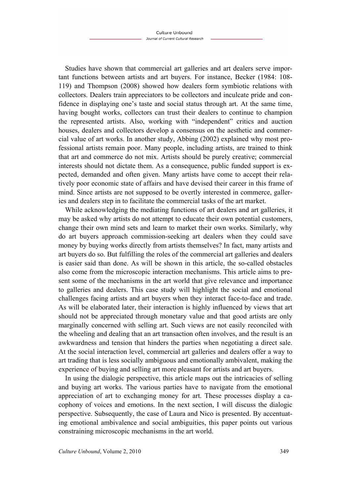Studies have shown that commercial art galleries and art dealers serve important functions between artists and art buyers. For instance, Becker (1984: 108- 119) and Thompson (2008) showed how dealers form symbiotic relations with collectors. Dealers train appreciators to be collectors and inculcate pride and confidence in displaying one's taste and social status through art. At the same time, having bought works, collectors can trust their dealers to continue to champion the represented artists. Also, working with "independent" critics and auction houses, dealers and collectors develop a consensus on the aesthetic and commercial value of art works. In another study, Abbing (2002) explained why most professional artists remain poor. Many people, including artists, are trained to think that art and commerce do not mix. Artists should be purely creative; commercial interests should not dictate them. As a consequence, public funded support is expected, demanded and often given. Many artists have come to accept their relatively poor economic state of affairs and have devised their career in this frame of mind. Since artists are not supposed to be overtly interested in commerce, galleries and dealers step in to facilitate the commercial tasks of the art market.

While acknowledging the mediating functions of art dealers and art galleries, it may be asked why artists do not attempt to educate their own potential customers, change their own mind sets and learn to market their own works. Similarly, why do art buyers approach commission-seeking art dealers when they could save money by buying works directly from artists themselves? In fact, many artists and art buyers do so. But fulfilling the roles of the commercial art galleries and dealers is easier said than done. As will be shown in this article, the so-called obstacles also come from the microscopic interaction mechanisms. This article aims to present some of the mechanisms in the art world that give relevance and importance to galleries and dealers. This case study will highlight the social and emotional challenges facing artists and art buyers when they interact face-to-face and trade. As will be elaborated later, their interaction is highly influenced by views that art should not be appreciated through monetary value and that good artists are only marginally concerned with selling art. Such views are not easily reconciled with the wheeling and dealing that an art transaction often involves, and the result is an awkwardness and tension that hinders the parties when negotiating a direct sale. At the social interaction level, commercial art galleries and dealers offer a way to art trading that is less socially ambiguous and emotionally ambivalent, making the experience of buying and selling art more pleasant for artists and art buyers.

In using the dialogic perspective, this article maps out the intricacies of selling and buying art works. The various parties have to navigate from the emotional appreciation of art to exchanging money for art. These processes display a cacophony of voices and emotions. In the next section, I will discuss the dialogic perspective. Subsequently, the case of Laura and Nico is presented. By accentuating emotional ambivalence and social ambiguities, this paper points out various constraining microscopic mechanisms in the art world.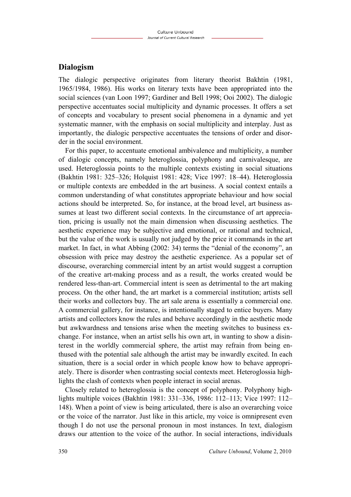## **Dialogism**

The dialogic perspective originates from literary theorist Bakhtin (1981, 1965/1984, 1986). His works on literary texts have been appropriated into the social sciences (van Loon 1997; Gardiner and Bell 1998; Ooi 2002). The dialogic perspective accentuates social multiplicity and dynamic processes. It offers a set of concepts and vocabulary to present social phenomena in a dynamic and yet systematic manner, with the emphasis on social multiplicity and interplay. Just as importantly, the dialogic perspective accentuates the tensions of order and disorder in the social environment.

For this paper, to accentuate emotional ambivalence and multiplicity, a number of dialogic concepts, namely heteroglossia, polyphony and carnivalesque, are used. Heteroglossia points to the multiple contexts existing in social situations (Bakhtin 1981: 325–326; Holquist 1981: 428; Vice 1997: 18–44). Heteroglossia or multiple contexts are embedded in the art business. A social context entails a common understanding of what constitutes appropriate behaviour and how social actions should be interpreted. So, for instance, at the broad level, art business assumes at least two different social contexts. In the circumstance of art appreciation, pricing is usually not the main dimension when discussing aesthetics. The aesthetic experience may be subjective and emotional, or rational and technical, but the value of the work is usually not judged by the price it commands in the art market. In fact, in what Abbing (2002: 34) terms the "denial of the economy", an obsession with price may destroy the aesthetic experience. As a popular set of discourse, overarching commercial intent by an artist would suggest a corruption of the creative art-making process and as a result, the works created would be rendered less-than-art. Commercial intent is seen as detrimental to the art making process. On the other hand, the art market is a commercial institution; artists sell their works and collectors buy. The art sale arena is essentially a commercial one. A commercial gallery, for instance, is intentionally staged to entice buyers. Many artists and collectors know the rules and behave accordingly in the aesthetic mode but awkwardness and tensions arise when the meeting switches to business exchange. For instance, when an artist sells his own art, in wanting to show a disinterest in the worldly commercial sphere, the artist may refrain from being enthused with the potential sale although the artist may be inwardly excited. In each situation, there is a social order in which people know how to behave appropriately. There is disorder when contrasting social contexts meet. Heteroglossia highlights the clash of contexts when people interact in social arenas.

Closely related to heteroglossia is the concept of polyphony. Polyphony highlights multiple voices (Bakhtin 1981: 331–336, 1986: 112–113; Vice 1997: 112– 148). When a point of view is being articulated, there is also an overarching voice or the voice of the narrator. Just like in this article, my voice is omnipresent even though I do not use the personal pronoun in most instances. In text, dialogism draws our attention to the voice of the author. In social interactions, individuals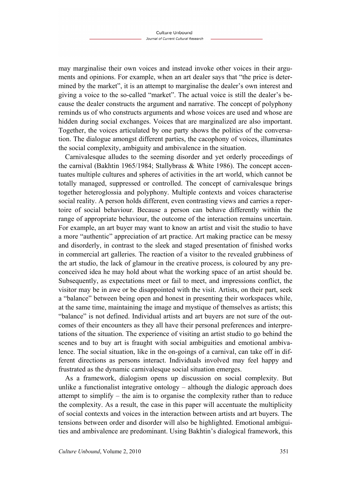may marginalise their own voices and instead invoke other voices in their arguments and opinions. For example, when an art dealer says that "the price is determined by the market", it is an attempt to marginalise the dealer's own interest and giving a voice to the so-called "market". The actual voice is still the dealer's because the dealer constructs the argument and narrative. The concept of polyphony reminds us of who constructs arguments and whose voices are used and whose are hidden during social exchanges. Voices that are marginalized are also important. Together, the voices articulated by one party shows the politics of the conversation. The dialogue amongst different parties, the cacophony of voices, illuminates the social complexity, ambiguity and ambivalence in the situation.

Carnivalesque alludes to the seeming disorder and yet orderly proceedings of the carnival (Bakhtin 1965/1984; Stallybrass & White 1986). The concept accentuates multiple cultures and spheres of activities in the art world, which cannot be totally managed, suppressed or controlled. The concept of carnivalesque brings together heteroglossia and polyphony. Multiple contexts and voices characterise social reality. A person holds different, even contrasting views and carries a repertoire of social behaviour. Because a person can behave differently within the range of appropriate behaviour, the outcome of the interaction remains uncertain. For example, an art buyer may want to know an artist and visit the studio to have a more "authentic" appreciation of art practice. Art making practice can be messy and disorderly, in contrast to the sleek and staged presentation of finished works in commercial art galleries. The reaction of a visitor to the revealed grubbiness of the art studio, the lack of glamour in the creative process, is coloured by any preconceived idea he may hold about what the working space of an artist should be. Subsequently, as expectations meet or fail to meet, and impressions conflict, the visitor may be in awe or be disappointed with the visit. Artists, on their part, seek a "balance" between being open and honest in presenting their workspaces while, at the same time, maintaining the image and mystique of themselves as artists; this "balance" is not defined. Individual artists and art buyers are not sure of the outcomes of their encounters as they all have their personal preferences and interpretations of the situation. The experience of visiting an artist studio to go behind the scenes and to buy art is fraught with social ambiguities and emotional ambivalence. The social situation, like in the on-goings of a carnival, can take off in different directions as persons interact. Individuals involved may feel happy and frustrated as the dynamic carnivalesque social situation emerges.

As a framework, dialogism opens up discussion on social complexity. But unlike a functionalist integrative ontology – although the dialogic approach does attempt to simplify – the aim is to organise the complexity rather than to reduce the complexity. As a result, the case in this paper will accentuate the multiplicity of social contexts and voices in the interaction between artists and art buyers. The tensions between order and disorder will also be highlighted. Emotional ambiguities and ambivalence are predominant. Using Bakhtin's dialogical framework, this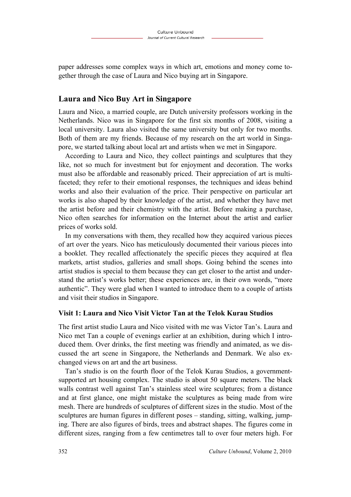paper addresses some complex ways in which art, emotions and money come together through the case of Laura and Nico buying art in Singapore.

# **Laura and Nico Buy Art in Singapore**

Laura and Nico, a married couple, are Dutch university professors working in the Netherlands. Nico was in Singapore for the first six months of 2008, visiting a local university. Laura also visited the same university but only for two months. Both of them are my friends. Because of my research on the art world in Singapore, we started talking about local art and artists when we met in Singapore.

According to Laura and Nico, they collect paintings and sculptures that they like, not so much for investment but for enjoyment and decoration. The works must also be affordable and reasonably priced. Their appreciation of art is multifaceted; they refer to their emotional responses, the techniques and ideas behind works and also their evaluation of the price. Their perspective on particular art works is also shaped by their knowledge of the artist, and whether they have met the artist before and their chemistry with the artist. Before making a purchase, Nico often searches for information on the Internet about the artist and earlier prices of works sold.

In my conversations with them, they recalled how they acquired various pieces of art over the years. Nico has meticulously documented their various pieces into a booklet. They recalled affectionately the specific pieces they acquired at flea markets, artist studios, galleries and small shops. Going behind the scenes into artist studios is special to them because they can get closer to the artist and understand the artist's works better; these experiences are, in their own words, "more authentic". They were glad when I wanted to introduce them to a couple of artists and visit their studios in Singapore.

## **Visit 1: Laura and Nico Visit Victor Tan at the Telok Kurau Studios**

The first artist studio Laura and Nico visited with me was Victor Tan's. Laura and Nico met Tan a couple of evenings earlier at an exhibition, during which I introduced them. Over drinks, the first meeting was friendly and animated, as we discussed the art scene in Singapore, the Netherlands and Denmark. We also exchanged views on art and the art business.

Tan's studio is on the fourth floor of the Telok Kurau Studios, a governmentsupported art housing complex. The studio is about 50 square meters. The black walls contrast well against Tan's stainless steel wire sculptures; from a distance and at first glance, one might mistake the sculptures as being made from wire mesh. There are hundreds of sculptures of different sizes in the studio. Most of the sculptures are human figures in different poses – standing, sitting, walking, jumping. There are also figures of birds, trees and abstract shapes. The figures come in different sizes, ranging from a few centimetres tall to over four meters high. For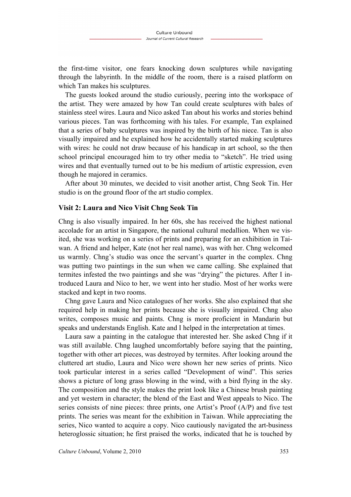the first-time visitor, one fears knocking down sculptures while navigating through the labyrinth. In the middle of the room, there is a raised platform on which Tan makes his sculptures.

The guests looked around the studio curiously, peering into the workspace of the artist. They were amazed by how Tan could create sculptures with bales of stainless steel wires. Laura and Nico asked Tan about his works and stories behind various pieces. Tan was forthcoming with his tales. For example, Tan explained that a series of baby sculptures was inspired by the birth of his niece. Tan is also visually impaired and he explained how he accidentally started making sculptures with wires: he could not draw because of his handicap in art school, so the then school principal encouraged him to try other media to "sketch". He tried using wires and that eventually turned out to be his medium of artistic expression, even though he majored in ceramics.

After about 30 minutes, we decided to visit another artist, Chng Seok Tin. Her studio is on the ground floor of the art studio complex.

#### **Visit 2: Laura and Nico Visit Chng Seok Tin**

Chng is also visually impaired. In her 60s, she has received the highest national accolade for an artist in Singapore, the national cultural medallion. When we visited, she was working on a series of prints and preparing for an exhibition in Taiwan. A friend and helper, Kate (not her real name), was with her. Chng welcomed us warmly. Chng's studio was once the servant's quarter in the complex. Chng was putting two paintings in the sun when we came calling. She explained that termites infested the two paintings and she was "drying" the pictures. After I introduced Laura and Nico to her, we went into her studio. Most of her works were stacked and kept in two rooms.

Chng gave Laura and Nico catalogues of her works. She also explained that she required help in making her prints because she is visually impaired. Chng also writes, composes music and paints. Chng is more proficient in Mandarin but speaks and understands English. Kate and I helped in the interpretation at times.

Laura saw a painting in the catalogue that interested her. She asked Chng if it was still available. Chng laughed uncomfortably before saying that the painting, together with other art pieces, was destroyed by termites. After looking around the cluttered art studio, Laura and Nico were shown her new series of prints. Nico took particular interest in a series called "Development of wind". This series shows a picture of long grass blowing in the wind, with a bird flying in the sky. The composition and the style makes the print look like a Chinese brush painting and yet western in character; the blend of the East and West appeals to Nico. The series consists of nine pieces: three prints, one Artist's Proof (A/P) and five test prints. The series was meant for the exhibition in Taiwan. While appreciating the series, Nico wanted to acquire a copy. Nico cautiously navigated the art-business heteroglossic situation; he first praised the works, indicated that he is touched by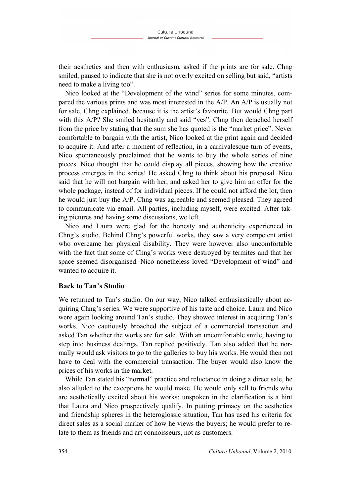their aesthetics and then with enthusiasm, asked if the prints are for sale. Chng smiled, paused to indicate that she is not overly excited on selling but said, "artists need to make a living too".

Nico looked at the "Development of the wind" series for some minutes, compared the various prints and was most interested in the A/P. An A/P is usually not for sale, Chng explained, because it is the artist's favourite. But would Chng part with this A/P? She smiled hesitantly and said "yes". Chng then detached herself from the price by stating that the sum she has quoted is the "market price". Never comfortable to bargain with the artist, Nico looked at the print again and decided to acquire it. And after a moment of reflection, in a carnivalesque turn of events, Nico spontaneously proclaimed that he wants to buy the whole series of nine pieces. Nico thought that he could display all pieces, showing how the creative process emerges in the series! He asked Chng to think about his proposal. Nico said that he will not bargain with her, and asked her to give him an offer for the whole package, instead of for individual pieces. If he could not afford the lot, then he would just buy the A/P. Chng was agreeable and seemed pleased. They agreed to communicate via email. All parties, including myself, were excited. After taking pictures and having some discussions, we left.

Nico and Laura were glad for the honesty and authenticity experienced in Chng's studio. Behind Chng's powerful works, they saw a very competent artist who overcame her physical disability. They were however also uncomfortable with the fact that some of Chng's works were destroyed by termites and that her space seemed disorganised. Nico nonetheless loved "Development of wind" and wanted to acquire it.

#### **Back to Tan's Studio**

We returned to Tan's studio. On our way, Nico talked enthusiastically about acquiring Chng's series. We were supportive of his taste and choice. Laura and Nico were again looking around Tan's studio. They showed interest in acquiring Tan's works. Nico cautiously broached the subject of a commercial transaction and asked Tan whether the works are for sale. With an uncomfortable smile, having to step into business dealings, Tan replied positively. Tan also added that he normally would ask visitors to go to the galleries to buy his works. He would then not have to deal with the commercial transaction. The buyer would also know the prices of his works in the market.

While Tan stated his "normal" practice and reluctance in doing a direct sale, he also alluded to the exceptions he would make. He would only sell to friends who are aesthetically excited about his works; unspoken in the clarification is a hint that Laura and Nico prospectively qualify. In putting primacy on the aesthetics and friendship spheres in the heteroglossic situation, Tan has used his criteria for direct sales as a social marker of how he views the buyers; he would prefer to relate to them as friends and art connoisseurs, not as customers.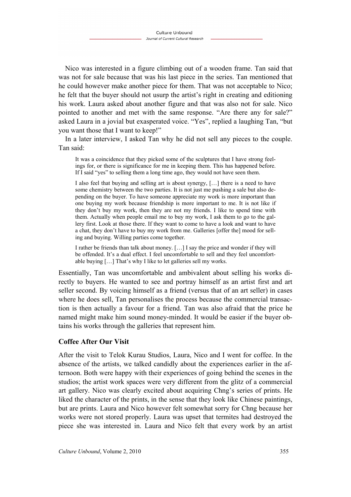Nico was interested in a figure climbing out of a wooden frame. Tan said that was not for sale because that was his last piece in the series. Tan mentioned that he could however make another piece for them. That was not acceptable to Nico; he felt that the buyer should not usurp the artist's right in creating and editioning his work. Laura asked about another figure and that was also not for sale. Nico pointed to another and met with the same response. "Are there any for sale?" asked Laura in a jovial but exasperated voice. "Yes", replied a laughing Tan, "but you want those that I want to keep!"

In a later interview, I asked Tan why he did not sell any pieces to the couple. Tan said:

It was a coincidence that they picked some of the sculptures that I have strong feelings for, or there is significance for me in keeping them. This has happened before. If I said "yes" to selling them a long time ago, they would not have seen them.

I also feel that buying and selling art is about synergy, […] there is a need to have some chemistry between the two parties. It is not just me pushing a sale but also depending on the buyer. To have someone appreciate my work is more important than one buying my work because friendship is more important to me. It is not like if they don't buy my work, then they are not my friends. I like to spend time with them. Actually when people email me to buy my work, I ask them to go to the gallery first. Look at those there. If they want to come to have a look and want to have a chat, they don't have to buy my work from me. Galleries [offer the] mood for selling and buying. Willing parties come together.

I rather be friends than talk about money. […] I say the price and wonder if they will be offended. It's a dual effect. I feel uncomfortable to sell and they feel uncomfortable buying […] That's why I like to let galleries sell my works.

Essentially, Tan was uncomfortable and ambivalent about selling his works directly to buyers. He wanted to see and portray himself as an artist first and art seller second. By voicing himself as a friend (versus that of an art seller) in cases where he does sell, Tan personalises the process because the commercial transaction is then actually a favour for a friend. Tan was also afraid that the price he named might make him sound money-minded. It would be easier if the buyer obtains his works through the galleries that represent him.

## **Coffee After Our Visit**

After the visit to Telok Kurau Studios, Laura, Nico and I went for coffee. In the absence of the artists, we talked candidly about the experiences earlier in the afternoon. Both were happy with their experiences of going behind the scenes in the studios; the artist work spaces were very different from the glitz of a commercial art gallery. Nico was clearly excited about acquiring Chng's series of prints. He liked the character of the prints, in the sense that they look like Chinese paintings, but are prints. Laura and Nico however felt somewhat sorry for Chng because her works were not stored properly. Laura was upset that termites had destroyed the piece she was interested in. Laura and Nico felt that every work by an artist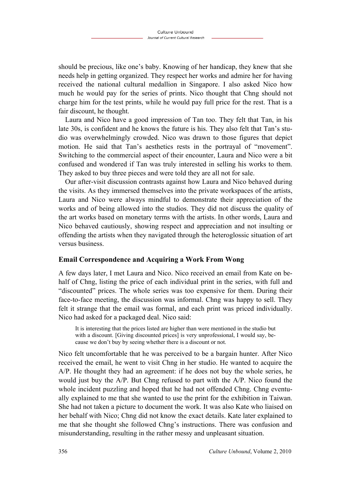should be precious, like one's baby. Knowing of her handicap, they knew that she needs help in getting organized. They respect her works and admire her for having received the national cultural medallion in Singapore. I also asked Nico how much he would pay for the series of prints. Nico thought that Chng should not charge him for the test prints, while he would pay full price for the rest. That is a fair discount, he thought.

Laura and Nico have a good impression of Tan too. They felt that Tan, in his late 30s, is confident and he knows the future is his. They also felt that Tan's studio was overwhelmingly crowded. Nico was drawn to those figures that depict motion. He said that Tan's aesthetics rests in the portrayal of "movement". Switching to the commercial aspect of their encounter, Laura and Nico were a bit confused and wondered if Tan was truly interested in selling his works to them. They asked to buy three pieces and were told they are all not for sale.

Our after-visit discussion contrasts against how Laura and Nico behaved during the visits. As they immersed themselves into the private workspaces of the artists, Laura and Nico were always mindful to demonstrate their appreciation of the works and of being allowed into the studios. They did not discuss the quality of the art works based on monetary terms with the artists. In other words, Laura and Nico behaved cautiously, showing respect and appreciation and not insulting or offending the artists when they navigated through the heteroglossic situation of art versus business.

#### **Email Correspondence and Acquiring a Work From Wong**

A few days later, I met Laura and Nico. Nico received an email from Kate on behalf of Chng, listing the price of each individual print in the series, with full and "discounted" prices. The whole series was too expensive for them. During their face-to-face meeting, the discussion was informal. Chng was happy to sell. They felt it strange that the email was formal, and each print was priced individually. Nico had asked for a packaged deal. Nico said:

It is interesting that the prices listed are higher than were mentioned in the studio but with a discount. [Giving discounted prices] is very unprofessional, I would say, because we don't buy by seeing whether there is a discount or not.

Nico felt uncomfortable that he was perceived to be a bargain hunter. After Nico received the email, he went to visit Chng in her studio. He wanted to acquire the A/P. He thought they had an agreement: if he does not buy the whole series, he would just buy the  $A/P$ . But Chng refused to part with the  $A/P$ . Nico found the whole incident puzzling and hoped that he had not offended Chng. Chng eventually explained to me that she wanted to use the print for the exhibition in Taiwan. She had not taken a picture to document the work. It was also Kate who liaised on her behalf with Nico; Chng did not know the exact details. Kate later explained to me that she thought she followed Chng's instructions. There was confusion and misunderstanding, resulting in the rather messy and unpleasant situation.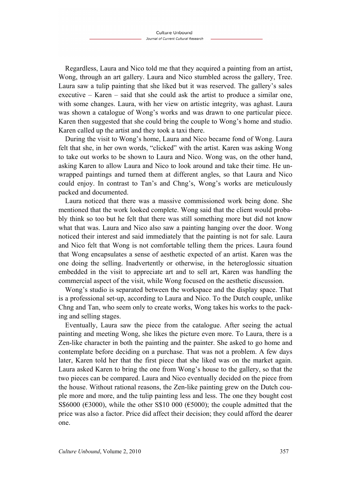Regardless, Laura and Nico told me that they acquired a painting from an artist, Wong, through an art gallery. Laura and Nico stumbled across the gallery, Tree. Laura saw a tulip painting that she liked but it was reserved. The gallery's sales executive – Karen – said that she could ask the artist to produce a similar one, with some changes. Laura, with her view on artistic integrity, was aghast. Laura was shown a catalogue of Wong's works and was drawn to one particular piece. Karen then suggested that she could bring the couple to Wong's home and studio. Karen called up the artist and they took a taxi there.

During the visit to Wong's home, Laura and Nico became fond of Wong. Laura felt that she, in her own words, "clicked" with the artist. Karen was asking Wong to take out works to be shown to Laura and Nico. Wong was, on the other hand, asking Karen to allow Laura and Nico to look around and take their time. He unwrapped paintings and turned them at different angles, so that Laura and Nico could enjoy. In contrast to Tan's and Chng's, Wong's works are meticulously packed and documented.

Laura noticed that there was a massive commissioned work being done. She mentioned that the work looked complete. Wong said that the client would probably think so too but he felt that there was still something more but did not know what that was. Laura and Nico also saw a painting hanging over the door. Wong noticed their interest and said immediately that the painting is not for sale. Laura and Nico felt that Wong is not comfortable telling them the prices. Laura found that Wong encapsulates a sense of aesthetic expected of an artist. Karen was the one doing the selling. Inadvertently or otherwise, in the heteroglossic situation embedded in the visit to appreciate art and to sell art, Karen was handling the commercial aspect of the visit, while Wong focused on the aesthetic discussion.

Wong's studio is separated between the workspace and the display space. That is a professional set-up, according to Laura and Nico. To the Dutch couple, unlike Chng and Tan, who seem only to create works, Wong takes his works to the packing and selling stages.

Eventually, Laura saw the piece from the catalogue. After seeing the actual painting and meeting Wong, she likes the picture even more. To Laura, there is a Zen-like character in both the painting and the painter. She asked to go home and contemplate before deciding on a purchase. That was not a problem. A few days later, Karen told her that the first piece that she liked was on the market again. Laura asked Karen to bring the one from Wong's house to the gallery, so that the two pieces can be compared. Laura and Nico eventually decided on the piece from the house. Without rational reasons, the Zen-like painting grew on the Dutch couple more and more, and the tulip painting less and less. The one they bought cost S\$6000 ( $\epsilon$ 3000), while the other S\$10 000 ( $\epsilon$ 5000); the couple admitted that the price was also a factor. Price did affect their decision; they could afford the dearer one.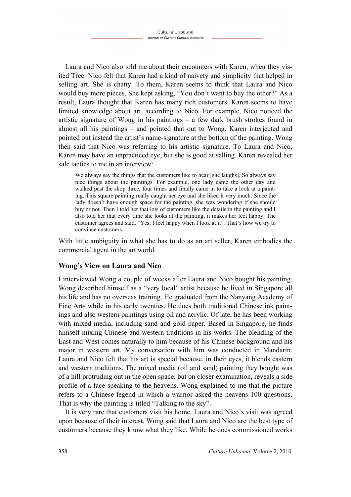Laura and Nico also told me about their encounters with Karen, when they visited Tree. Nico felt that Karen had a kind of naivety and simplicity that helped in selling art. She is chatty. To them, Karen seems to think that Laura and Nico would buy more pieces. She kept asking, "You don't want to buy the other?" As a result, Laura thought that Karen has many rich customers. Karen seems to have limited knowledge about art, according to Nico. For example, Nico noticed the artistic signature of Wong in his paintings – a few dark brush strokes found in almost all his paintings – and pointed that out to Wong. Karen interjected and pointed out instead the artist's name-signature at the bottom of the painting. Wong then said that Nico was referring to his artistic signature. To Laura and Nico, Karen may have an unpracticed eye, but she is good at selling. Karen revealed her sale tactics to me in an interview:

We always say the things that the customers like to hear [she laughs]. So always say nice things about the paintings. For example, one lady came the other day and walked past the shop three, four times and finally came in to take a look at a painting. This square painting really caught her eye and she liked it very much. Since the lady doesn't have enough space for the painting, she was wondering if she should buy or not. Then I told her that lots of customers like the details in the painting and I also told her that every time she looks at the painting, it makes her feel happy. The customer agrees and said, "Yes, I feel happy when I look at it". That's how we try to convince customers.

With little ambiguity in what she has to do as an art seller, Karen embodies the commercial agent in the art world.

## **Wong's View on Laura and Nico**

I interviewed Wong a couple of weeks after Laura and Nico bought his painting. Wong described himself as a "very local" artist because he lived in Singapore all his life and has no overseas training. He graduated from the Nanyang Academy of Fine Arts while in his early twenties. He does both traditional Chinese ink paintings and also western paintings using oil and acrylic. Of late, he has been working with mixed media, including sand and gold paper. Based in Singapore, he finds himself mixing Chinese and western traditions in his works. The blending of the East and West comes naturally to him because of his Chinese background and his major in western art. My conversation with him was conducted in Mandarin. Laura and Nico felt that his art is special because, in their eyes, it blends eastern and western traditions. The mixed media (oil and sand) painting they bought was of a hill protruding out in the open space, but on closer examination, reveals a side profile of a face speaking to the heavens. Wong explained to me that the picture refers to a Chinese legend in which a warrior asked the heavens 100 questions. That is why the painting is titled "Talking to the sky".

It is very rare that customers visit his home. Laura and Nico's visit was agreed upon because of their interest. Wong said that Laura and Nico are the best type of customers because they know what they like. While he does commissioned works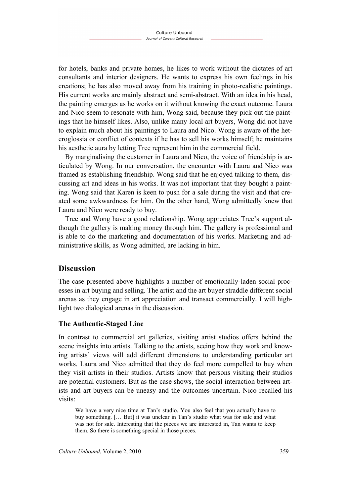for hotels, banks and private homes, he likes to work without the dictates of art consultants and interior designers. He wants to express his own feelings in his creations; he has also moved away from his training in photo-realistic paintings. His current works are mainly abstract and semi-abstract. With an idea in his head, the painting emerges as he works on it without knowing the exact outcome. Laura and Nico seem to resonate with him, Wong said, because they pick out the paintings that he himself likes. Also, unlike many local art buyers, Wong did not have to explain much about his paintings to Laura and Nico. Wong is aware of the heteroglossia or conflict of contexts if he has to sell his works himself; he maintains his aesthetic aura by letting Tree represent him in the commercial field.

By marginalising the customer in Laura and Nico, the voice of friendship is articulated by Wong. In our conversation, the encounter with Laura and Nico was framed as establishing friendship. Wong said that he enjoyed talking to them, discussing art and ideas in his works. It was not important that they bought a painting. Wong said that Karen is keen to push for a sale during the visit and that created some awkwardness for him. On the other hand, Wong admittedly knew that Laura and Nico were ready to buy.

Tree and Wong have a good relationship. Wong appreciates Tree's support although the gallery is making money through him. The gallery is professional and is able to do the marketing and documentation of his works. Marketing and administrative skills, as Wong admitted, are lacking in him.

# **Discussion**

The case presented above highlights a number of emotionally-laden social processes in art buying and selling. The artist and the art buyer straddle different social arenas as they engage in art appreciation and transact commercially. I will highlight two dialogical arenas in the discussion.

#### **The Authentic-Staged Line**

In contrast to commercial art galleries, visiting artist studios offers behind the scene insights into artists. Talking to the artists, seeing how they work and knowing artists' views will add different dimensions to understanding particular art works. Laura and Nico admitted that they do feel more compelled to buy when they visit artists in their studios. Artists know that persons visiting their studios are potential customers. But as the case shows, the social interaction between artists and art buyers can be uneasy and the outcomes uncertain. Nico recalled his visits:

We have a very nice time at Tan's studio. You also feel that you actually have to buy something. [… But] it was unclear in Tan's studio what was for sale and what was not for sale. Interesting that the pieces we are interested in, Tan wants to keep them. So there is something special in those pieces.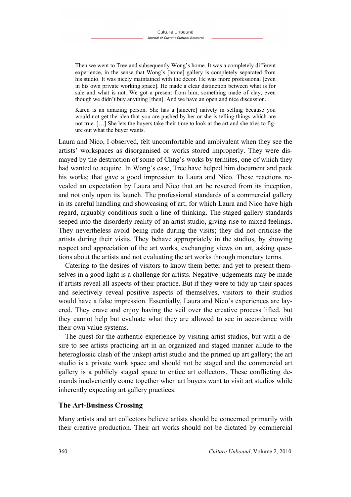Then we went to Tree and subsequently Wong's home. It was a completely different experience, in the sense that Wong's [home] gallery is completely separated from his studio. It was nicely maintained with the décor. He was more professional [even in his own private working space]. He made a clear distinction between what is for sale and what is not. We got a present from him, something made of clay, even though we didn't buy anything [then]. And we have an open and nice discussion.

Karen is an amazing person. She has a [sincere] naivety in selling because you would not get the idea that you are pushed by her or she is telling things which are not true. […] She lets the buyers take their time to look at the art and she tries to figure out what the buyer wants.

Laura and Nico, I observed, felt uncomfortable and ambivalent when they see the artists' workspaces as disorganised or works stored improperly. They were dismayed by the destruction of some of Chng's works by termites, one of which they had wanted to acquire. In Wong's case, Tree have helped him document and pack his works; that gave a good impression to Laura and Nico. These reactions revealed an expectation by Laura and Nico that art be revered from its inception, and not only upon its launch. The professional standards of a commercial gallery in its careful handling and showcasing of art, for which Laura and Nico have high regard, arguably conditions such a line of thinking. The staged gallery standards seeped into the disorderly reality of an artist studio, giving rise to mixed feelings. They nevertheless avoid being rude during the visits; they did not criticise the artists during their visits. They behave appropriately in the studios, by showing respect and appreciation of the art works, exchanging views on art, asking questions about the artists and not evaluating the art works through monetary terms.

Catering to the desires of visitors to know them better and yet to present themselves in a good light is a challenge for artists. Negative judgements may be made if artists reveal all aspects of their practice. But if they were to tidy up their spaces and selectively reveal positive aspects of themselves, visitors to their studios would have a false impression. Essentially, Laura and Nico's experiences are layered. They crave and enjoy having the veil over the creative process lifted, but they cannot help but evaluate what they are allowed to see in accordance with their own value systems.

The quest for the authentic experience by visiting artist studios, but with a desire to see artists practicing art in an organized and staged manner allude to the heteroglossic clash of the unkept artist studio and the primed up art gallery; the art studio is a private work space and should not be staged and the commercial art gallery is a publicly staged space to entice art collectors. These conflicting demands inadvertently come together when art buyers want to visit art studios while inherently expecting art gallery practices.

#### **The Art-Business Crossing**

Many artists and art collectors believe artists should be concerned primarily with their creative production. Their art works should not be dictated by commercial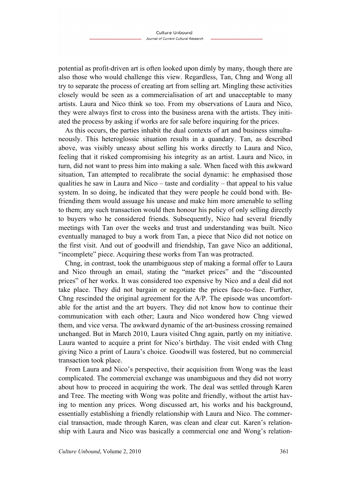potential as profit-driven art is often looked upon dimly by many, though there are also those who would challenge this view. Regardless, Tan, Chng and Wong all try to separate the process of creating art from selling art. Mingling these activities closely would be seen as a commercialisation of art and unacceptable to many artists. Laura and Nico think so too. From my observations of Laura and Nico, they were always first to cross into the business arena with the artists. They initiated the process by asking if works are for sale before inquiring for the prices.

As this occurs, the parties inhabit the dual contexts of art and business simultaneously. This heteroglossic situation results in a quandary. Tan, as described above, was visibly uneasy about selling his works directly to Laura and Nico, feeling that it risked compromising his integrity as an artist. Laura and Nico, in turn, did not want to press him into making a sale. When faced with this awkward situation, Tan attempted to recalibrate the social dynamic: he emphasised those qualities he saw in Laura and Nico – taste and cordiality – that appeal to his value system. In so doing, he indicated that they were people he could bond with. Befriending them would assuage his unease and make him more amenable to selling to them; any such transaction would then honour his policy of only selling directly to buyers who he considered friends. Subsequently, Nico had several friendly meetings with Tan over the weeks and trust and understanding was built. Nico eventually managed to buy a work from Tan, a piece that Nico did not notice on the first visit. And out of goodwill and friendship, Tan gave Nico an additional, "incomplete" piece. Acquiring these works from Tan was protracted.

Chng, in contrast, took the unambiguous step of making a formal offer to Laura and Nico through an email, stating the "market prices" and the "discounted prices" of her works. It was considered too expensive by Nico and a deal did not take place. They did not bargain or negotiate the prices face-to-face. Further, Chng rescinded the original agreement for the A/P. The episode was uncomfortable for the artist and the art buyers. They did not know how to continue their communication with each other; Laura and Nico wondered how Chng viewed them, and vice versa. The awkward dynamic of the art-business crossing remained unchanged. But in March 2010, Laura visited Chng again, partly on my initiative. Laura wanted to acquire a print for Nico's birthday. The visit ended with Chng giving Nico a print of Laura's choice. Goodwill was fostered, but no commercial transaction took place.

From Laura and Nico's perspective, their acquisition from Wong was the least complicated. The commercial exchange was unambiguous and they did not worry about how to proceed in acquiring the work. The deal was settled through Karen and Tree. The meeting with Wong was polite and friendly, without the artist having to mention any prices. Wong discussed art, his works and his background, essentially establishing a friendly relationship with Laura and Nico. The commercial transaction, made through Karen, was clean and clear cut. Karen's relationship with Laura and Nico was basically a commercial one and Wong's relation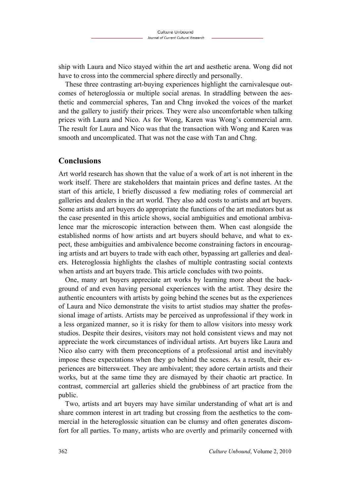ship with Laura and Nico stayed within the art and aesthetic arena. Wong did not have to cross into the commercial sphere directly and personally.

These three contrasting art-buying experiences highlight the carnivalesque outcomes of heteroglossia or multiple social arenas. In straddling between the aesthetic and commercial spheres, Tan and Chng invoked the voices of the market and the gallery to justify their prices. They were also uncomfortable when talking prices with Laura and Nico. As for Wong, Karen was Wong's commercial arm. The result for Laura and Nico was that the transaction with Wong and Karen was smooth and uncomplicated. That was not the case with Tan and Chng.

### **Conclusions**

Art world research has shown that the value of a work of art is not inherent in the work itself. There are stakeholders that maintain prices and define tastes. At the start of this article, I briefly discussed a few mediating roles of commercial art galleries and dealers in the art world. They also add costs to artists and art buyers. Some artists and art buyers do appropriate the functions of the art mediators but as the case presented in this article shows, social ambiguities and emotional ambivalence mar the microscopic interaction between them. When cast alongside the established norms of how artists and art buyers should behave, and what to expect, these ambiguities and ambivalence become constraining factors in encouraging artists and art buyers to trade with each other, bypassing art galleries and dealers. Heteroglossia highlights the clashes of multiple contrasting social contexts when artists and art buyers trade. This article concludes with two points.

One, many art buyers appreciate art works by learning more about the background of and even having personal experiences with the artist. They desire the authentic encounters with artists by going behind the scenes but as the experiences of Laura and Nico demonstrate the visits to artist studios may shatter the professional image of artists. Artists may be perceived as unprofessional if they work in a less organized manner, so it is risky for them to allow visitors into messy work studios. Despite their desires, visitors may not hold consistent views and may not appreciate the work circumstances of individual artists. Art buyers like Laura and Nico also carry with them preconceptions of a professional artist and inevitably impose these expectations when they go behind the scenes. As a result, their experiences are bittersweet. They are ambivalent; they adore certain artists and their works, but at the same time they are dismayed by their chaotic art practice. In contrast, commercial art galleries shield the grubbiness of art practice from the public.

Two, artists and art buyers may have similar understanding of what art is and share common interest in art trading but crossing from the aesthetics to the commercial in the heteroglossic situation can be clumsy and often generates discomfort for all parties. To many, artists who are overtly and primarily concerned with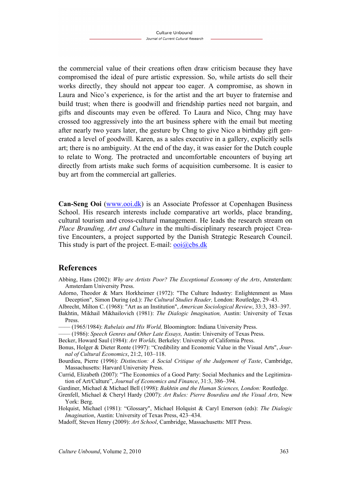the commercial value of their creations often draw criticism because they have compromised the ideal of pure artistic expression. So, while artists do sell their works directly, they should not appear too eager. A compromise, as shown in Laura and Nico's experience, is for the artist and the art buyer to fraternise and build trust; when there is goodwill and friendship parties need not bargain, and gifts and discounts may even be offered. To Laura and Nico, Chng may have crossed too aggressively into the art business sphere with the email but meeting after nearly two years later, the gesture by Chng to give Nico a birthday gift generated a level of goodwill. Karen, as a sales executive in a gallery, explicitly sells art; there is no ambiguity. At the end of the day, it was easier for the Dutch couple to relate to Wong. The protracted and uncomfortable encounters of buying art directly from artists make such forms of acquisition cumbersome. It is easier to buy art from the commercial art galleries.

**Can-Seng Ooi** [\(www.ooi.dk\)](http://www.ooi.dk/) is an Associate Professor at Copenhagen Business School. His research interests include comparative art worlds, place branding, cultural tourism and cross-cultural management. He leads the research stream on *Place Branding, Art and Culture* in the multi-disciplinary research project ©reative Encounters, a project supported by the Danish Strategic Research Council. This study is part of the project. E-mail:  $\overline{\text{ooi}(a)}$ cbs.dk

## **References**

- Abbing, Hans (2002): *Why are Artists Poor? The Exceptional Economy of the Arts*, Amsterdam: Amsterdam University Press.
- Adorno, Theodor & Marx Horkheimer (1972): "The Culture Industry: Enlightenment as Mass Deception", Simon During (ed.): *The Cultural Studies Reader,* London: Routledge, 29–43.

Albrecht, Milton C. (1968): "Art as an Institution", *American Sociological Review*, 33:3, 383–397.

Bakhtin, Mikhail Mikhailovich (1981): *The Dialogic Imagination,* Austin: University of Texas Press.

–––– (1965/1984): *Rabelais and His World,* Bloomington: Indiana University Press.

- –––– (1986): *Speech Genres and Other Late Essays,* Austin: University of Texas Press.
- Becker, Howard Saul (1984): *Art Worlds,* Berkeley: University of California Press.
- Bonus, Holger & Dieter Ronte (1997): "Credibility and Economic Value in the Visual Arts", *Journal of Cultural Economics*, 21:2, 103–118.
- Bourdieu, Pierre (1996): *Distinction: A Social Critique of the Judgement of Taste*, Cambridge, Massachusetts: Harvard University Press.

Currid, Elizabeth (2007): "The Economics of a Good Party: Social Mechanics and the Legitimization of Art/Culture", *Journal of Economics and Finance*, 31:3, 386–394.

Gardiner, Michael & Michael Bell (1998): *Bakhtin and the Human Sciences, London:* Routledge.

Grenfell, Michael & Cheryl Hardy (2007): *Art Rules: Pierre Bourdieu and the Visual Arts,* New York: Berg.

Holquist, Michael (1981): "Glossary", Michael Holquist & Caryl Emerson (eds): *The Dialogic Imagination*, Austin: University of Texas Press, 423–434.

Madoff, Steven Henry (2009): *Art School*, Cambridge, Massachusetts: MIT Press.